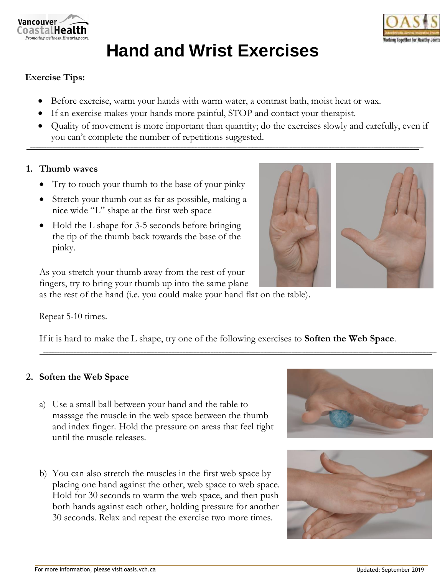



# **Hand and Wrist Exercises**

# **Exercise Tips:**

- Before exercise, warm your hands with warm water, a contrast bath, moist heat or wax.
- If an exercise makes your hands more painful, STOP and contact your therapist.
- Quality of movement is more important than quantity; do the exercises slowly and carefully, even if you can't complete the number of repetitions suggested.

#### **1. Thumb waves**

- Try to touch your thumb to the base of your pinky
- Stretch your thumb out as far as possible, making a nice wide "L" shape at the first web space
- Hold the L shape for 3-5 seconds before bringing the tip of the thumb back towards the base of the pinky.





As you stretch your thumb away from the rest of your fingers, try to bring your thumb up into the same plane

as the rest of the hand (i.e. you could make your hand flat on the table).

#### Repeat 5-10 times.

If it is hard to make the L shape, try one of the following exercises to **Soften the Web Space**.

## **2. Soften the Web Space**

- a) Use a small ball between your hand and the table to massage the muscle in the web space between the thumb and index finger. Hold the pressure on areas that feel tight until the muscle releases.
- b) You can also stretch the muscles in the first web space by placing one hand against the other, web space to web space. Hold for 30 seconds to warm the web space, and then push both hands against each other, holding pressure for another 30 seconds. Relax and repeat the exercise two more times.